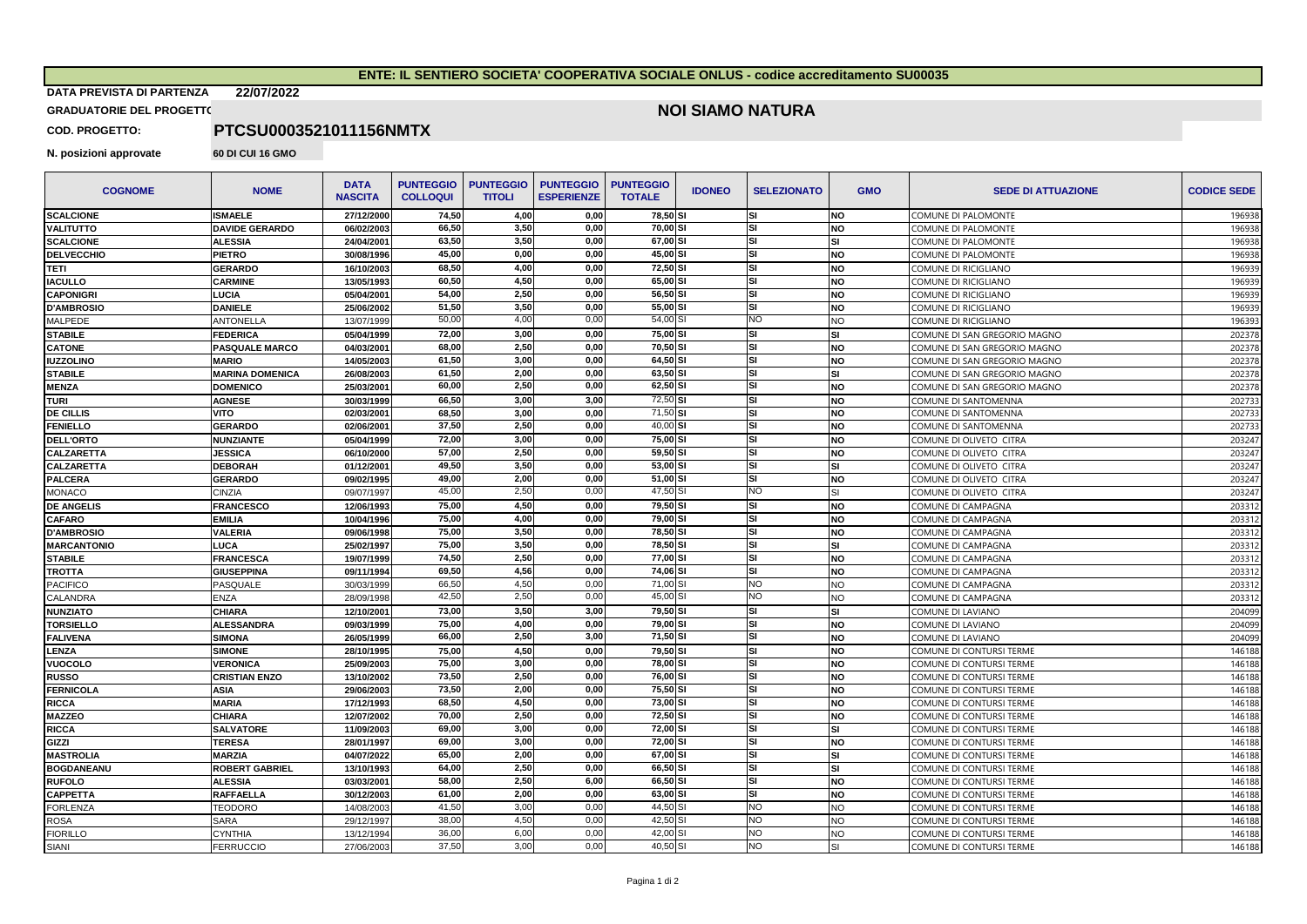## **ENTE: IL SENTIERO SOCIETA' COOPERATIVA SOCIALE ONLUS - codice accreditamento SU00035**

**DATA PREVISTA DI PARTENZA 22/07/2022**

## **GRADUATORIE DEL PROGETTO**

## **NOI SIAMO NATURA**

**COD. PROGETTO:**

**N. posizioni approvate 60 DI CUI 16 GMO** 

**PTCSU0003521011156NMTX**

| <b>COGNOME</b>     | <b>NOME</b>            | <b>DATA</b><br><b>NASCITA</b> | <b>PUNTEGGIO</b><br><b>COLLOQUI</b> | <b>PUNTEGGIO</b><br><b>TITOLI</b> | <b>PUNTEGGIO</b><br><b>ESPERIENZE</b> | <b>PUNTEGGIO</b><br><b>TOTALE</b> | <b>IDONEO</b> | <b>SELEZIONATO</b> | <b>GMO</b>     | <b>SEDE DI ATTUAZIONE</b>    | <b>CODICE SEDE</b> |
|--------------------|------------------------|-------------------------------|-------------------------------------|-----------------------------------|---------------------------------------|-----------------------------------|---------------|--------------------|----------------|------------------------------|--------------------|
| <b>SCALCIONE</b>   | <b>ISMAELE</b>         | 27/12/2000                    | 74,50                               | 4,00                              | 0,00                                  | 78,50 SI                          |               | <b>SI</b>          | <b>NO</b>      | COMUNE DI PALOMONTE          | 196938             |
| <b>VALITUTTO</b>   | <b>DAVIDE GERARDO</b>  | 06/02/2003                    | 66,50                               | 3,50                              | 0.00                                  | 70,00 SI                          |               | lsı                | <b>NO</b>      | COMUNE DI PALOMONTE          | 196938             |
| <b>SCALCIONE</b>   | <b>ALESSIA</b>         | 24/04/2001                    | 63,50                               | 3,50                              | 0.00                                  | 67.00 SI                          |               | lsı                | SI             | COMUNE DI PALOMONTE          | 196938             |
| DELVECCHIO         | <b>PIETRO</b>          | 30/08/1996                    | 45,00                               | 0,00                              | 0,00                                  | 45,00 SI                          |               | <b>SI</b>          | <b>NO</b>      | COMUNE DI PALOMONTE          | 196938             |
| TETI               | <b>GERARDO</b>         | 16/10/2003                    | 68,50                               | 4,00                              | 0,00                                  | 72,50 SI                          |               | <b>SI</b>          | <b>NO</b>      | COMUNE DI RICIGLIANO         | 196939             |
| <b>IACULLO</b>     | <b>CARMINE</b>         | 13/05/1993                    | 60,50                               | 4,50                              | 0,00                                  | 65,00 SI                          |               | <b>SI</b>          | <b>NO</b>      | COMUNE DI RICIGLIANO         | 196939             |
| <b>CAPONIGRI</b>   | <b>LUCIA</b>           | 05/04/200                     | 54,00                               | 2,50                              | 0,00                                  | 56,50 SI                          |               | SI                 | <b>NO</b>      | COMUNE DI RICIGLIANO         | 196939             |
| <b>D'AMBROSIO</b>  | <b>DANIELE</b>         | 25/06/2002                    | 51,50                               | 3.50                              | 0.00                                  | 55.00 SI                          |               | <b>SI</b>          | <b>NO</b>      | COMUNE DI RICIGLIANO         | 196939             |
| MALPEDE            | <b>ANTONELLA</b>       | 13/07/1999                    | 50,00                               | 4,00                              | 0,00                                  | 54,00 SI                          |               | <b>NO</b>          | NO.            | COMUNE DI RICIGLIANO         | 196393             |
| STABILE            | <b>FEDERICA</b>        | 05/04/1999                    | 72,00                               | 3,00                              | 0,00                                  | 75,00 SI                          |               | 'SI                | <b>SI</b>      | COMUNE DI SAN GREGORIO MAGNO | 202378             |
| <b>CATONE</b>      | PASQUALE MARCO         | 04/03/2001                    | 68,00                               | 2,50                              | 0,00                                  | 70,50 SI                          |               | <b>SI</b>          | <b>NO</b>      | COMUNE DI SAN GREGORIO MAGNO | 202378             |
| <b>IUZZOLINO</b>   | <b>MARIO</b>           | 14/05/2003                    | 61,50                               | 3,00                              | 0,00                                  | 64,50 SI                          |               | <b>SI</b>          | <b>NO</b>      | COMUNE DI SAN GREGORIO MAGNO | 202378             |
| STABILE            | <b>MARINA DOMENICA</b> | 26/08/2003                    | 61,50                               | 2.00                              | 0.00                                  | 63.50 SI                          |               | 'SI                | SI             | COMUNE DI SAN GREGORIO MAGNO | 202378             |
| <b>MENZA</b>       | <b>DOMENICO</b>        | 25/03/200                     | 60,00                               | 2,50                              | 0,00                                  | 62,50 SI                          |               | 'SI                | <b>NO</b>      | COMUNE DI SAN GREGORIO MAGNO | 202378             |
| TURI               | <b>AGNESE</b>          | 30/03/1999                    | 66,50                               | 3,00                              | 3,00                                  | 72,50 SI                          |               | 'SI                | <b>NO</b>      | COMUNE DI SANTOMENNA         | 202733             |
| <b>DE CILLIS</b>   | VITO                   | 02/03/200                     | 68,50                               | 3,00                              | 0,00                                  | 71,50 SI                          |               | <b>SI</b>          | <b>NO</b>      | COMUNE DI SANTOMENNA         | 202733             |
| <b>FENIELLO</b>    | <b>GERARDO</b>         | 02/06/200                     | 37,50                               | 2.50                              | 0.00                                  | 40,00 SI                          |               | <b>SI</b>          | <b>NO</b>      | COMUNE DI SANTOMENNA         | 202733             |
| <b>DELL'ORTO</b>   | <b>NUNZIANTE</b>       | 05/04/1999                    | 72,00                               | 3,00                              | 0,00                                  | 75,00 SI                          |               | SI                 | <b>NO</b>      | COMUNE DI OLIVETO CITRA      | 203247             |
| CALZARETTA         | <b>JESSICA</b>         | 06/10/2000                    | 57,00                               | 2,50                              | 0.00                                  | 59.50 SI                          |               | 'SI                | <b>NO</b>      | COMUNE DI OLIVETO CITRA      | 203247             |
| CALZARETTA         | <b>DEBORAH</b>         | 01/12/200                     | 49,50                               | 3,50                              | 0.00                                  | 53.00 SI                          |               | lsı                | SI             | COMUNE DI OLIVETO CITRA      | 203247             |
| <b>PALCERA</b>     | <b>GERARDO</b>         | 09/02/1995                    | 49,00                               | 2,00                              | 0,00                                  | 51,00 SI                          |               | lsı                | <b>NO</b>      | COMUNE DI OLIVETO CITRA      | 203247             |
| MONACO             | CINZIA                 | 09/07/1997                    | 45,00                               | 2,50                              | 0,00                                  | 47,50 SI                          |               | <b>NO</b>          | SI             | COMUNE DI OLIVETO CITRA      | 203247             |
| <b>DE ANGELIS</b>  | <b>FRANCESCO</b>       | 12/06/1993                    | 75,00                               | 4,50                              | 0,00                                  | 79,50 SI                          |               | <b>SI</b>          | <b>NO</b>      | COMUNE DI CAMPAGNA           | 203312             |
| <b>CAFARO</b>      | <b>EMILIA</b>          | 10/04/1996                    | 75,00                               | 4,00                              | 0,00                                  | 79,00 SI                          |               | <b>SI</b>          | <b>NO</b>      | COMUNE DI CAMPAGNA           | 203312             |
| <b>D'AMBROSIO</b>  | <b>VALERIA</b>         | 09/06/1998                    | 75,00                               | 3,50                              | 0.00                                  | 78.50 SI                          |               | <b>SI</b>          | <b>NO</b>      | COMUNE DI CAMPAGNA           | 203312             |
| <b>MARCANTONIO</b> | LUCA                   | 25/02/1997                    | 75,00                               | 3,50                              | 0.00                                  | 78.50 SI                          |               | <b>SI</b>          | SI             | COMUNE DI CAMPAGNA           | 203312             |
| <b>STABILE</b>     | <b>FRANCESCA</b>       | 19/07/1999                    | 74,50                               | 2,50                              | 0,00                                  | 77.00 SI                          |               | <b>SI</b>          | <b>NO</b>      | COMUNE DI CAMPAGNA           | 203312             |
| <b>TROTTA</b>      | <b>GIUSEPPINA</b>      | 09/11/1994                    | 69,50                               | 4,56                              | 0,00                                  | 74,06 SI                          |               | <b>SI</b>          | <b>NO</b>      | COMUNE DI CAMPAGNA           | 203312             |
| <b>PACIFICO</b>    | PASQUALE               | 30/03/1999                    | 66,50                               | 4,50                              | 0,00                                  | 71,00 SI                          |               | <b>NO</b>          | <b>NO</b>      | COMUNE DI CAMPAGNA           | 203312             |
| CALANDRA           | <b>ENZA</b>            | 28/09/1998                    | 42,50                               | 2,50                              | 0,00                                  | 45,00 SI                          |               | NO.                | NO.            | COMUNE DI CAMPAGNA           | 203312             |
| NUNZIATO           | <b>CHIARA</b>          | 12/10/200                     | 73,00                               | 3,50                              | 3,00                                  | 79,50 SI                          |               | lsı                | SI             | COMUNE DI LAVIANO            | 204099             |
| <b>TORSIELLO</b>   | <b>ALESSANDRA</b>      | 09/03/1999                    | 75,00                               | 4,00                              | 0,00                                  | 79.00 SI                          |               | <b>SI</b>          | <b>NO</b>      | COMUNE DI LAVIANO            | 204099             |
| <b>FALIVENA</b>    | <b>SIMONA</b>          | 26/05/1999                    | 66,00                               | 2,50                              | 3,00                                  | 71,50 SI                          |               | SI                 | <b>NO</b>      | COMUNE DI LAVIANO            | 204099             |
| <b>LENZA</b>       | <b>SIMONE</b>          | 28/10/1995                    | 75,00                               | 4,50                              | 0,00                                  | 79,50 SI                          |               | <b>SI</b>          | <b>NO</b>      | COMUNE DI CONTURSI TERME     | 146188             |
| VUOCOLO            | <b>VERONICA</b>        | 25/09/2003                    | 75,00                               | 3,00                              | 0,00                                  | 78,00 SI                          |               | <b>SI</b>          | <b>NO</b>      | COMUNE DI CONTURSI TERME     | 146188             |
| RUSSO              | <b>CRISTIAN ENZO</b>   | 13/10/2002                    | 73,50                               | 2,50                              | 0,00                                  | 76,00 SI                          |               | <b>SI</b>          | <b>NO</b>      | COMUNE DI CONTURSI TERME     | 146188             |
| <b>FERNICOLA</b>   | <b>ASIA</b>            | 29/06/2003                    | 73,50                               | 2.00                              | 0.00                                  | 75.50 SI                          |               | <b>SI</b>          | <b>NO</b>      | COMUNE DI CONTURSI TERME     | 146188             |
| RICCA              | <b>MARIA</b>           | 17/12/1993                    | 68,50                               | 4,50                              | 0,00                                  | 73.00 SI                          |               | <b>SI</b>          | <b>NO</b>      | COMUNE DI CONTURSI TERME     | 146188             |
| <b>MAZZEO</b>      | <b>CHIARA</b>          | 12/07/2002                    | 70,00                               | 2,50                              | 0,00                                  | 72,50 SI                          |               | <b>SI</b>          | <b>NO</b>      | COMUNE DI CONTURSI TERME     | 146188             |
| <b>RICCA</b>       | <b>SALVATORE</b>       | 11/09/2003                    | 69,00                               | 3,00                              | 0.00                                  | 72.00 SI                          |               | <b>SI</b>          | SI             | COMUNE DI CONTURSI TERME     | 146188             |
| GIZZI              | <b>TERESA</b>          | 28/01/1997                    | 69,00                               | 3,00                              | 0,00                                  | 72,00 SI                          |               | <b>SI</b>          | <b>NO</b>      | COMUNE DI CONTURSI TERME     | 146188             |
| <b>MASTROLIA</b>   | <b>MARZIA</b>          | 04/07/2022                    | 65,00                               | 2,00                              | 0,00                                  | 67,00 SI                          |               | lsı                | SI             | COMUNE DI CONTURSI TERME     | 146188             |
| <b>BOGDANEANU</b>  | <b>ROBERT GABRIEL</b>  | 13/10/1993                    | 64,00                               | 2,50                              | 0,00                                  | 66,50 SI                          |               | <b>SI</b>          | SI             | COMUNE DI CONTURSI TERME     | 146188             |
| <b>RUFOLO</b>      | <b>ALESSIA</b>         | 03/03/2001                    | 58,00                               | 2,50                              | 6,00                                  | 66,50 SI                          |               | <b>SI</b>          | <b>NO</b>      | COMUNE DI CONTURSI TERME     | 146188             |
| <b>CAPPETTA</b>    | <b>RAFFAELLA</b>       | 30/12/2003                    | 61,00                               | 2.00                              | 0.00                                  | 63.00 SI                          |               | lsı                | <b>NO</b>      | COMUNE DI CONTURSI TERME     | 146188             |
| <b>FORLENZA</b>    | <b>TEODORO</b>         | 14/08/2003                    | 41,50                               | 3,00                              | 0,00                                  | 44,50 SI                          |               | <b>NO</b>          | NO.            | COMUNE DI CONTURSI TERME     | 146188             |
| <b>ROSA</b>        | <b>SARA</b>            | 29/12/1997                    | 38,00                               | 4,50                              | 0,00                                  | 42,50 SI                          |               | <b>NO</b>          | N <sub>O</sub> | COMUNE DI CONTURSI TERME     | 146188             |
| <b>FIORILLO</b>    | <b>CYNTHIA</b>         | 13/12/1994                    | 36,00                               | 6,00                              | 0.00                                  | 42,00                             |               | <b>NO</b>          | NO.            | COMUNE DI CONTURSI TERME     | 146188             |
| <b>SIANI</b>       | <b>FERRUCCIO</b>       | 27/06/2003                    | 37,50                               | 3,00                              | 0,00                                  | 40,50 SI                          |               | <b>NO</b>          | SI             | COMUNE DI CONTURSI TERME     | 146188             |